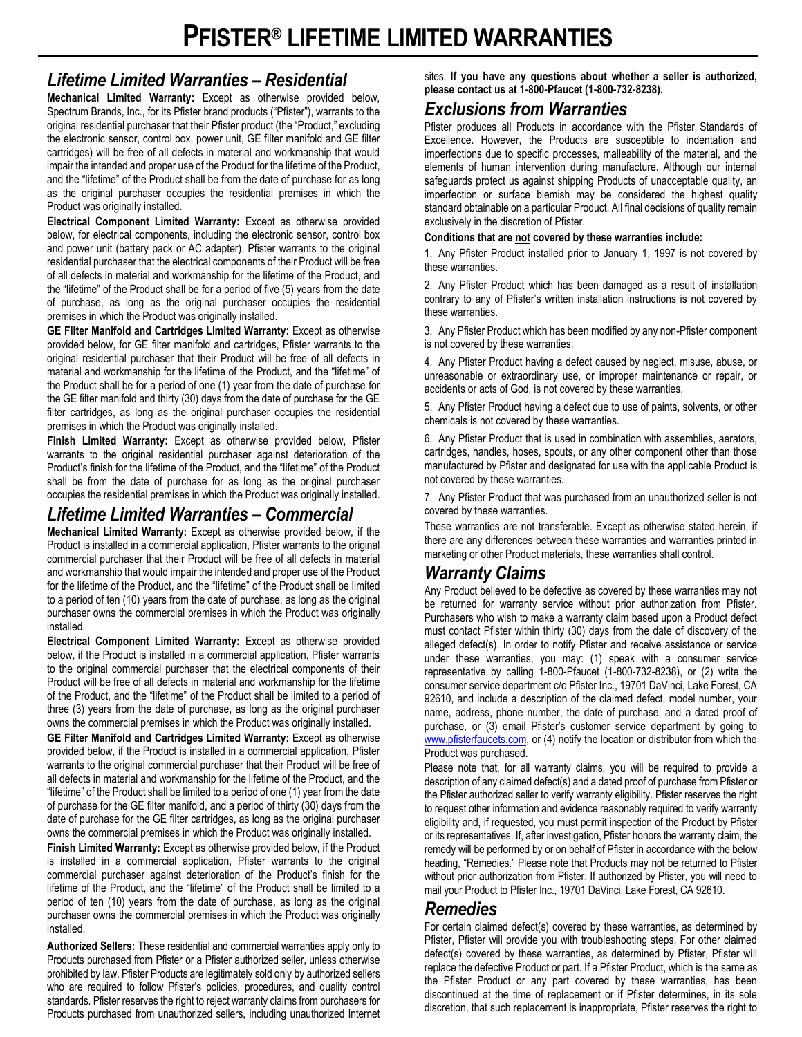## *Lifetime Limited Warranties – Residential*

**Mechanical Limited Warranty:** Except as otherwise provided below, Spectrum Brands, Inc., for its Pfister brand products ("Pfister"), warrants to the original residential purchaser that their Pfister product (the "Product," excluding the electronic sensor, control box, power unit, GE filter manifold and GE filter cartridges) will be free of all defects in material and workmanship that would impair the intended and proper use of the Product for the lifetime of the Product, and the "lifetime" of the Product shall be from the date of purchase for as long as the original purchaser occupies the residential premises in which the Product was originally installed.

**Electrical Component Limited Warranty:** Except as otherwise provided below, for electrical components, including the electronic sensor, control box and power unit (battery pack or AC adapter), Pfister warrants to the original residential purchaser that the electrical components of their Product will be free of all defects in material and workmanship for the lifetime of the Product, and the "lifetime" of the Product shall be for a period of five (5) years from the date of purchase, as long as the original purchaser occupies the residential premises in which the Product was originally installed.

**GE Filter Manifold and Cartridges Limited Warranty:** Except as otherwise provided below, for GE filter manifold and cartridges, Pfister warrants to the original residential purchaser that their Product will be free of all defects in material and workmanship for the lifetime of the Product, and the "lifetime" of the Product shall be for a period of one (1) year from the date of purchase for the GE filter manifold and thirty (30) days from the date of purchase for the GE filter cartridges, as long as the original purchaser occupies the residential premises in which the Product was originally installed.

**Finish Limited Warranty:** Except as otherwise provided below, Pfister warrants to the original residential purchaser against deterioration of the Product's finish for the lifetime of the Product, and the "lifetime" of the Product shall be from the date of purchase for as long as the original purchaser occupies the residential premises in which the Product was originally installed.

# *Lifetime Limited Warranties – Commercial*

**Mechanical Limited Warranty:** Except as otherwise provided below, if the Product is installed in a commercial application, Pfister warrants to the original commercial purchaser that their Product will be free of all defects in material and workmanship that would impair the intended and proper use of the Product for the lifetime of the Product, and the "lifetime" of the Product shall be limited to a period of ten (10) years from the date of purchase, as long as the original purchaser owns the commercial premises in which the Product was originally installed.

**Electrical Component Limited Warranty:** Except as otherwise provided below, if the Product is installed in a commercial application, Pfister warrants to the original commercial purchaser that the electrical components of their Product will be free of all defects in material and workmanship for the lifetime of the Product, and the "lifetime" of the Product shall be limited to a period of three (3) years from the date of purchase, as long as the original purchaser owns the commercial premises in which the Product was originally installed.

**GE Filter Manifold and Cartridges Limited Warranty:** Except as otherwise provided below, if the Product is installed in a commercial application, Pfister warrants to the original commercial purchaser that their Product will be free of all defects in material and workmanship for the lifetime of the Product, and the "lifetime" of the Product shall be limited to a period of one (1) year from the date of purchase for the GE filter manifold, and a period of thirty (30) days from the date of purchase for the GE filter cartridges, as long as the original purchaser owns the commercial premises in which the Product was originally installed.

**Finish Limited Warranty:** Except as otherwise provided below, if the Product is installed in a commercial application, Pfister warrants to the original commercial purchaser against deterioration of the Product's finish for the lifetime of the Product, and the "lifetime" of the Product shall be limited to a period of ten (10) years from the date of purchase, as long as the original purchaser owns the commercial premises in which the Product was originally installed.

**Authorized Sellers:** These residential and commercial warranties apply only to Products purchased from Pfister or a Pfister authorized seller, unless otherwise prohibited by law. Pfister Products are legitimately sold only by authorized sellers who are required to follow Pfister's policies, procedures, and quality control standards. Pfister reserves the right to reject warranty claims from purchasers for Products purchased from unauthorized sellers, including unauthorized Internet sites. **If you have any questions about whether a seller is authorized, please contact us at 1-800-Pfaucet (1-800-732-8238).**

## *Exclusions from Warranties*

Pfister produces all Products in accordance with the Pfister Standards of Excellence. However, the Products are susceptible to indentation and imperfections due to specific processes, malleability of the material, and the elements of human intervention during manufacture. Although our internal safeguards protect us against shipping Products of unacceptable quality, an imperfection or surface blemish may be considered the highest quality standard obtainable on a particular Product. All final decisions of quality remain exclusively in the discretion of Pfister.

#### **Conditions that are not covered by these warranties include:**

1. Any Pfister Product installed prior to January 1, 1997 is not covered by these warranties.

2. Any Pfister Product which has been damaged as a result of installation contrary to any of Pfister's written installation instructions is not covered by these warranties.

3. Any Pfister Product which has been modified by any non-Pfister component is not covered by these warranties.

4. Any Pfister Product having a defect caused by neglect, misuse, abuse, or unreasonable or extraordinary use, or improper maintenance or repair, or accidents or acts of God, is not covered by these warranties.

5. Any Pfister Product having a defect due to use of paints, solvents, or other chemicals is not covered by these warranties.

6. Any Pfister Product that is used in combination with assemblies, aerators, cartridges, handles, hoses, spouts, or any other component other than those manufactured by Pfister and designated for use with the applicable Product is not covered by these warranties.

7. Any Pfister Product that was purchased from an unauthorized seller is not covered by these warranties.

These warranties are not transferable. Except as otherwise stated herein, if there are any differences between these warranties and warranties printed in marketing or other Product materials, these warranties shall control.

# *Warranty Claims*

Any Product believed to be defective as covered by these warranties may not be returned for warranty service without prior authorization from Pfister. Purchasers who wish to make a warranty claim based upon a Product defect must contact Pfister within thirty (30) days from the date of discovery of the alleged defect(s). In order to notify Pfister and receive assistance or service under these warranties, you may: (1) speak with a consumer service representative by calling 1-800-Pfaucet (1-800-732-8238), or (2) write the consumer service department c/o Pfister Inc., 19701 DaVinci, Lake Forest, CA 92610, and include a description of the claimed defect, model number, your name, address, phone number, the date of purchase, and a dated proof of purchase, or (3) email Pfister's customer service department by going to [www.pfisterfaucets.com,](http://www.pfisterfaucets.com/) or (4) notify the location or distributor from which the Product was purchased.

Please note that, for all warranty claims, you will be required to provide a description of any claimed defect(s) and a dated proof of purchase from Pfister or the Pfister authorized seller to verify warranty eligibility. Pfister reserves the right to request other information and evidence reasonably required to verify warranty eligibility and, if requested, you must permit inspection of the Product by Pfister or its representatives. If, after investigation, Pfister honors the warranty claim, the remedy will be performed by or on behalf of Pfister in accordance with the below heading, "Remedies." Please note that Products may not be returned to Pfister without prior authorization from Pfister. If authorized by Pfister, you will need to mail your Product to Pfister Inc., 19701 DaVinci, Lake Forest, CA 92610.

### *Remedies*

For certain claimed defect(s) covered by these warranties, as determined by Pfister, Pfister will provide you with troubleshooting steps. For other claimed defect(s) covered by these warranties, as determined by Pfister, Pfister will replace the defective Product or part. If a Pfister Product, which is the same as the Pfister Product or any part covered by these warranties, has been discontinued at the time of replacement or if Pfister determines, in its sole discretion, that such replacement is inappropriate, Pfister reserves the right to